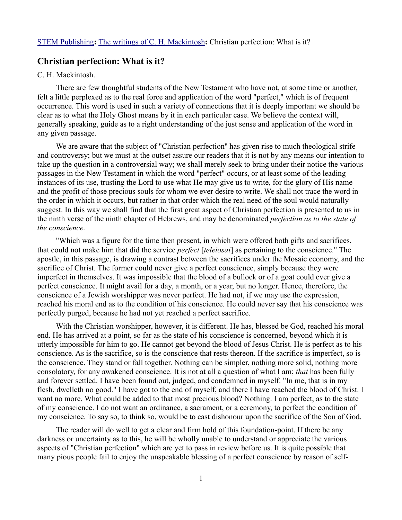## **Christian perfection: What is it?**

## C. H. Mackintosh.

There are few thoughtful students of the New Testament who have not, at some time or another, felt a little perplexed as to the real force and application of the word "perfect," which is of frequent occurrence. This word is used in such a variety of connections that it is deeply important we should be clear as to what the Holy Ghost means by it in each particular case. We believe the context will, generally speaking, guide as to a right understanding of the just sense and application of the word in any given passage.

We are aware that the subject of "Christian perfection'' has given rise to much theological strife and controversy; but we must at the outset assure our readers that it is not by any means our intention to take up the question in a controversial way; we shall merely seek to bring under their notice the various passages in the New Testament in which the word "perfect" occurs, or at least some of the leading instances of its use, trusting the Lord to use what He may give us to write, for the glory of His name and the profit of those precious souls for whom we ever desire to write. We shall not trace the word in the order in which it occurs, but rather in that order which the real need of the soul would naturally suggest. In this way we shall find that the first great aspect of Christian perfection is presented to us in the ninth verse of the ninth chapter of Hebrews, and may be denominated *perfection as to the state of the conscience.* 

"Which was a figure for the time then present, in which were offered both gifts and sacrifices, that could not make him that did the service *perfect* [*teleiosai*] as pertaining to the conscience." The apostle, in this passage, is drawing a contrast between the sacrifices under the Mosaic economy, and the sacrifice of Christ. The former could never give a perfect conscience, simply because they were imperfect in themselves. It was impossible that the blood of a bullock or of a goat could ever give a perfect conscience. It might avail for a day, a month, or a year, but no longer. Hence, therefore, the conscience of a Jewish worshipper was never perfect. He had not, if we may use the expression, reached his moral end as to the condition of his conscience. He could never say that his conscience was perfectly purged, because he had not yet reached a perfect sacrifice.

With the Christian worshipper, however, it is different. He has, blessed be God, reached his moral end. He has arrived at a point, so far as the state of his conscience is concerned, beyond which it is utterly impossible for him to go. He cannot get beyond the blood of Jesus Christ. He is perfect as to his conscience. As is the sacrifice, so is the conscience that rests thereon. If the sacrifice is imperfect, so is the conscience. They stand or fall together. Nothing can be simpler, nothing more solid, nothing more consolatory, for any awakened conscience. It is not at all a question of what I am; *that* has been fully and forever settled. I have been found out, judged, and condemned in myself. "In me, that is in my flesh, dwelleth no good." I have got to the end of myself, and there I have reached the blood of Christ. I want no more. What could be added to that most precious blood? Nothing. I am perfect, as to the state of my conscience. I do not want an ordinance, a sacrament, or a ceremony, to perfect the condition of my conscience. To say so, to think so, would be to cast dishonour upon the sacrifice of the Son of God.

The reader will do well to get a clear and firm hold of this foundation-point. If there be any darkness or uncertainty as to this, he will be wholly unable to understand or appreciate the various aspects of "Christian perfection" which are yet to pass in review before us. It is quite possible that many pious people fail to enjoy the unspeakable blessing of a perfect conscience by reason of self-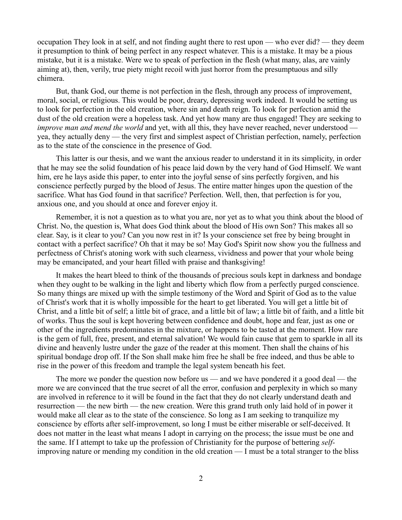occupation They look in at self, and not finding aught there to rest upon — who ever did? — they deem it presumption to think of being perfect in any respect whatever. This is a mistake. It may be a pious mistake, but it is a mistake. Were we to speak of perfection in the flesh (what many, alas, are vainly aiming at), then, verily, true piety might recoil with just horror from the presumptuous and silly chimera.

But, thank God, our theme is not perfection in the flesh, through any process of improvement, moral, social, or religious. This would be poor, dreary, depressing work indeed. It would be setting us to look for perfection in the old creation, where sin and death reign. To look for perfection amid the dust of the old creation were a hopeless task. And yet how many are thus engaged! They are seeking to *improve man and mend the world* and yet, with all this, they have never reached, never understood yea, they actually deny — the very first and simplest aspect of Christian perfection, namely, perfection as to the state of the conscience in the presence of God.

This latter is our thesis, and we want the anxious reader to understand it in its simplicity, in order that he may see the solid foundation of his peace laid down by the very hand of God Himself. We want him, ere he lays aside this paper, to enter into the joyful sense of sins perfectly forgiven, and his conscience perfectly purged by the blood of Jesus. The entire matter hinges upon the question of the sacrifice. What has God found in that sacrifice? Perfection. Well, then, that perfection is for you, anxious one, and you should at once and forever enjoy it.

Remember, it is not a question as to what you are, nor yet as to what you think about the blood of Christ. No, the question is, What does God think about the blood of His own Son? This makes all so clear. Say, is it clear to you? Can you now rest in it? Is your conscience set free by being brought in contact with a perfect sacrifice? Oh that it may be so! May God's Spirit now show you the fullness and perfectness of Christ's atoning work with such clearness, vividness and power that your whole being may be emancipated, and your heart filled with praise and thanksgiving!

It makes the heart bleed to think of the thousands of precious souls kept in darkness and bondage when they ought to be walking in the light and liberty which flow from a perfectly purged conscience. So many things are mixed up with the simple testimony of the Word and Spirit of God as to the value of Christ's work that it is wholly impossible for the heart to get liberated. You will get a little bit of Christ, and a little bit of self; a little bit of grace, and a little bit of law; a little bit of faith, and a little bit of works. Thus the soul is kept hovering between confidence and doubt, hope and fear, just as one or other of the ingredients predominates in the mixture, or happens to be tasted at the moment. How rare is the gem of full, free, present, and eternal salvation! We would fain cause that gem to sparkle in all its divine and heavenly lustre under the gaze of the reader at this moment. Then shall the chains of his spiritual bondage drop off. If the Son shall make him free he shall be free indeed, and thus be able to rise in the power of this freedom and trample the legal system beneath his feet.

The more we ponder the question now before us — and we have pondered it a good deal — the more we are convinced that the true secret of all the error, confusion and perplexity in which so many are involved in reference to it will be found in the fact that they do not clearly understand death and resurrection — the new birth — the new creation. Were this grand truth only laid hold of in power it would make all clear as to the state of the conscience. So long as I am seeking to tranquilize my conscience by efforts after self-improvement, so long I must be either miserable or self-deceived. It does not matter in the least what means I adopt in carrying on the process; the issue must be one and the same. If I attempt to take up the profession of Christianity for the purpose of bettering *self*improving nature or mending my condition in the old creation — I must be a total stranger to the bliss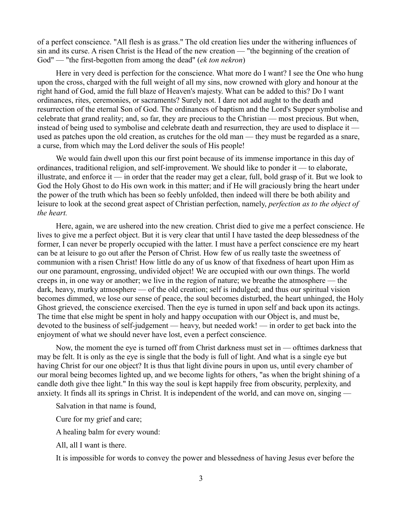of a perfect conscience. "All flesh is as grass." The old creation lies under the withering influences of sin and its curse. A risen Christ is the Head of the new creation — "the beginning of the creation of God" — "the first-begotten from among the dead" (*ek ton nekron*)

Here in very deed is perfection for the conscience. What more do I want? I see the One who hung upon the cross, charged with the full weight of all my sins, now crowned with glory and honour at the right hand of God, amid the full blaze of Heaven's majesty. What can be added to this? Do I want ordinances, rites, ceremonies, or sacraments? Surely not. I dare not add aught to the death and resurrection of the eternal Son of God. The ordinances of baptism and the Lord's Supper symbolise and celebrate that grand reality; and, so far, they are precious to the Christian — most precious. But when, instead of being used to symbolise and celebrate death and resurrection, they are used to displace it used as patches upon the old creation, as crutches for the old man — they must be regarded as a snare, a curse, from which may the Lord deliver the souls of His people!

We would fain dwell upon this our first point because of its immense importance in this day of ordinances, traditional religion, and self-improvement. We should like to ponder it — to elaborate, illustrate, and enforce it — in order that the reader may get a clear, full, bold grasp of it. But we look to God the Holy Ghost to do His own work in this matter; and if He will graciously bring the heart under the power of the truth which has been so feebly unfolded, then indeed will there be both ability and leisure to look at the second great aspect of Christian perfection, namely, *perfection as to the object of the heart.*

Here, again, we are ushered into the new creation. Christ died to give me a perfect conscience. He lives to give me a perfect object. But it is very clear that until I have tasted the deep blessedness of the former, I can never be properly occupied with the latter. I must have a perfect conscience ere my heart can be at leisure to go out after the Person of Christ. How few of us really taste the sweetness of communion with a risen Christ! How little do any of us know of that fixedness of heart upon Him as our one paramount, engrossing, undivided object! We are occupied with our own things. The world creeps in, in one way or another; we live in the region of nature; we breathe the atmosphere — the dark, heavy, murky atmosphere — of the old creation; self is indulged; and thus our spiritual vision becomes dimmed, we lose our sense of peace, the soul becomes disturbed, the heart unhinged, the Holy Ghost grieved, the conscience exercised. Then the eye is turned in upon self and back upon its actings. The time that else might be spent in holy and happy occupation with our Object is, and must be, devoted to the business of self-judgement — heavy, but needed work! — in order to get back into the enjoyment of what we should never have lost, even a perfect conscience.

Now, the moment the eye is turned off from Christ darkness must set in — ofttimes darkness that may be felt. It is only as the eye is single that the body is full of light. And what is a single eye but having Christ for our one object? It is thus that light divine pours in upon us, until every chamber of our moral being becomes lighted up, and we become lights for others, "as when the bright shining of a candle doth give thee light." In this way the soul is kept happily free from obscurity, perplexity, and anxiety. It finds all its springs in Christ. It is independent of the world, and can move on, singing —

Salvation in that name is found,

Cure for my grief and care;

A healing balm for every wound:

All, all I want is there.

It is impossible for words to convey the power and blessedness of having Jesus ever before the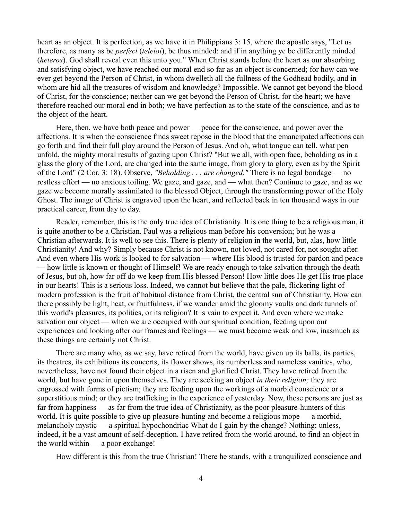heart as an object. It is perfection, as we have it in Philippians 3: 15, where the apostle says, "Let us therefore, as many as be *perfect* (*teleioi*), be thus minded: and if in anything ye be differently minded (*heteros*). God shall reveal even this unto you." When Christ stands before the heart as our absorbing and satisfying object, we have reached our moral end so far as an object is concerned; for how can we ever get beyond the Person of Christ, in whom dwelleth all the fullness of the Godhead bodily, and in whom are hid all the treasures of wisdom and knowledge? Impossible. We cannot get beyond the blood of Christ, for the conscience; neither can we get beyond the Person of Christ, for the heart; we have therefore reached our moral end in both; we have perfection as to the state of the conscience, and as to the object of the heart.

Here, then, we have both peace and power — peace for the conscience, and power over the affections. It is when the conscience finds sweet repose in the blood that the emancipated affections can go forth and find their full play around the Person of Jesus. And oh, what tongue can tell, what pen unfold, the mighty moral results of gazing upon Christ? "But we all, with open face, beholding as in a glass the glory of the Lord, are changed into the same image, from glory to glory, even as by the Spirit of the Lord" (2 Cor. 3: 18). Observe, *"Beholding . . . are changed."* There is no legal bondage — no restless effort — no anxious toiling. We gaze, and gaze, and — what then? Continue to gaze, and as we gaze we become morally assimilated to the blessed Object, through the transforming power of the Holy Ghost. The image of Christ is engraved upon the heart, and reflected back in ten thousand ways in our practical career, from day to day.

Reader, remember, this is the only true idea of Christianity. It is one thing to be a religious man, it is quite another to be a Christian. Paul was a religious man before his conversion; but he was a Christian afterwards. It is well to see this. There is plenty of religion in the world, but, alas, how little Christianity! And why? Simply because Christ is not known, not loved, not cared for, not sought after. And even where His work is looked to for salvation — where His blood is trusted for pardon and peace — how little is known or thought of Himself! We are ready enough to take salvation through the death of Jesus, but oh, how far off do we keep from His blessed Person! How little does He get His true place in our hearts! This is a serious loss. Indeed, we cannot but believe that the pale, flickering light of modern profession is the fruit of habitual distance from Christ, the central sun of Christianity. How can there possibly be light, heat, or fruitfulness, if we wander amid the gloomy vaults and dark tunnels of this world's pleasures, its polities, or its religion? It is vain to expect it. And even where we make salvation our object — when we are occupied with our spiritual condition, feeding upon our experiences and looking after our frames and feelings — we must become weak and low, inasmuch as these things are certainly not Christ.

There are many who, as we say, have retired from the world, have given up its balls, its parties, its theatres, its exhibitions its concerts, its flower shows, its numberless and nameless vanities, who, nevertheless, have not found their object in a risen and glorified Christ. They have retired from the world, but have gone in upon themselves. They are seeking an object *in their religion;* they are engrossed with forms of pietism; they are feeding upon the workings of a morbid conscience or a superstitious mind; or they are trafficking in the experience of yesterday. Now, these persons are just as far from happiness — as far from the true idea of Christianity, as the poor pleasure-hunters of this world. It is quite possible to give up pleasure-hunting and become a religious mope — a morbid, melancholy mystic — a spiritual hypochondriac What do I gain by the change? Nothing; unless, indeed, it be a vast amount of self-deception. I have retired from the world around, to find an object in the world within — a poor exchange!

How different is this from the true Christian! There he stands, with a tranquilized conscience and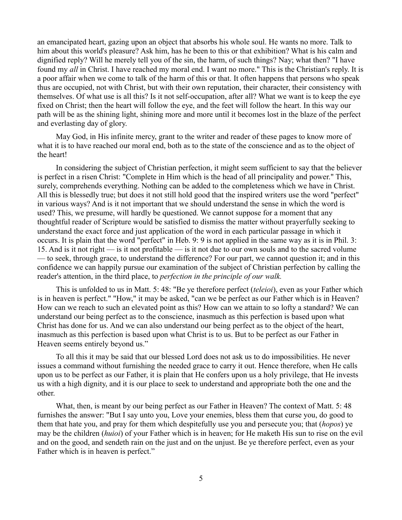an emancipated heart, gazing upon an object that absorbs his whole soul. He wants no more. Talk to him about this world's pleasure? Ask him, has he been to this or that exhibition? What is his calm and dignified reply? Will he merely tell you of the sin, the harm, of such things? Nay; what then? "I have found my *all* in Christ. I have reached my moral end. I want no more." This is the Christian's reply. It is a poor affair when we come to talk of the harm of this or that. It often happens that persons who speak thus are occupied, not with Christ, but with their own reputation, their character, their consistency with themselves. Of what use is all this? Is it not self-occupation, after all? What we want is to keep the eye fixed on Christ; then the heart will follow the eye, and the feet will follow the heart. In this way our path will be as the shining light, shining more and more until it becomes lost in the blaze of the perfect and everlasting day of glory.

May God, in His infinite mercy, grant to the writer and reader of these pages to know more of what it is to have reached our moral end, both as to the state of the conscience and as to the object of the heart!

In considering the subject of Christian perfection, it might seem sufficient to say that the believer is perfect in a risen Christ: "Complete in Him which is the head of all principality and power." This, surely, comprehends everything. Nothing can be added to the completeness which we have in Christ. All this is blessedly true; but does it not still hold good that the inspired writers use the word "perfect" in various ways? And is it not important that we should understand the sense in which the word is used? This, we presume, will hardly be questioned. We cannot suppose for a moment that any thoughtful reader of Scripture would be satisfied to dismiss the matter without prayerfully seeking to understand the exact force and just application of the word in each particular passage in which it occurs. It is plain that the word "perfect" in Heb. 9: 9 is not applied in the same way as it is in Phil. 3: 15. And is it not right — is it not profitable — is it not due to our own souls and to the sacred volume — to seek, through grace, to understand the difference? For our part, we cannot question it; and in this confidence we can happily pursue our examination of the subject of Christian perfection by calling the reader's attention, in the third place, to *perfection in the principle of our walk.*

This is unfolded to us in Matt. 5: 48: "Be ye therefore perfect (*teleioi*), even as your Father which is in heaven is perfect." "How," it may be asked, "can we be perfect as our Father which is in Heaven? How can we reach to such an elevated point as this? How can we attain to so lofty a standard? We can understand our being perfect as to the conscience, inasmuch as this perfection is based upon what Christ has done for us. And we can also understand our being perfect as to the object of the heart, inasmuch as this perfection is based upon what Christ is to us. But to be perfect as our Father in Heaven seems entirely beyond us."

To all this it may be said that our blessed Lord does not ask us to do impossibilities. He never issues a command without furnishing the needed grace to carry it out. Hence therefore, when He calls upon us to be perfect as our Father, it is plain that He confers upon us a holy privilege, that He invests us with a high dignity, and it is our place to seek to understand and appropriate both the one and the other.

What, then, is meant by our being perfect as our Father in Heaven? The context of Matt. 5: 48 furnishes the answer: "But I say unto you, Love your enemies, bless them that curse you, do good to them that hate you, and pray for them which despitefully use you and persecute you; that (*hopos*) ye may be the children (*huioi*) of your Father which is in heaven; for He maketh His sun to rise on the evil and on the good, and sendeth rain on the just and on the unjust. Be ye therefore perfect, even as your Father which is in heaven is perfect."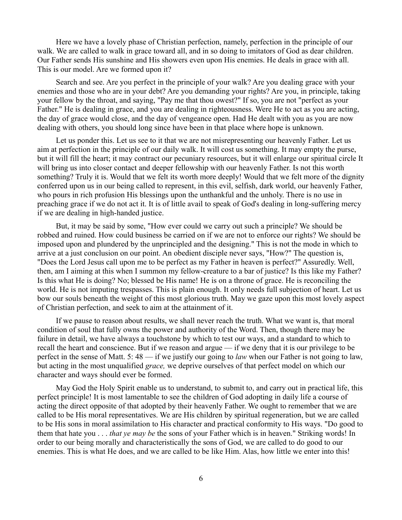Here we have a lovely phase of Christian perfection, namely, perfection in the principle of our walk. We are called to walk in grace toward all, and in so doing to imitators of God as dear children. Our Father sends His sunshine and His showers even upon His enemies. He deals in grace with all. This is our model. Are we formed upon it?

Search and see. Are you perfect in the principle of your walk? Are you dealing grace with your enemies and those who are in your debt? Are you demanding your rights? Are you, in principle, taking your fellow by the throat, and saying, "Pay me that thou owest?" If so, you are not "perfect as your Father." He is dealing in grace, and you are dealing in righteousness. Were He to act as you are acting, the day of grace would close, and the day of vengeance open. Had He dealt with you as you are now dealing with others, you should long since have been in that place where hope is unknown.

Let us ponder this. Let us see to it that we are not misrepresenting our heavenly Father. Let us aim at perfection in the principle of our daily walk. It will cost us something. It may empty the purse, but it will fill the heart; it may contract our pecuniary resources, but it will enlarge our spiritual circle It will bring us into closer contact and deeper fellowship with our heavenly Father. Is not this worth something? Truly it is. Would that we felt its worth more deeply! Would that we felt more of the dignity conferred upon us in our being called to represent, in this evil, selfish, dark world, our heavenly Father, who pours in rich profusion His blessings upon the unthankful and the unholy. There is no use in preaching grace if we do not act it. It is of little avail to speak of God's dealing in long-suffering mercy if we are dealing in high-handed justice.

But, it may be said by some, "How ever could we carry out such a principle? We should be robbed and ruined. How could business be carried on if we are not to enforce our rights? We should be imposed upon and plundered by the unprincipled and the designing." This is not the mode in which to arrive at a just conclusion on our point. An obedient disciple never says, "How?" The question is, "Does the Lord Jesus call upon me to be perfect as my Father in heaven is perfect?" Assuredly. Well, then, am I aiming at this when I summon my fellow-creature to a bar of justice? Is this like my Father? Is this what He is doing? No; blessed be His name! He is on a throne of grace. He is reconciling the world. He is not imputing trespasses. This is plain enough. It only needs full subjection of heart. Let us bow our souls beneath the weight of this most glorious truth. May we gaze upon this most lovely aspect of Christian perfection, and seek to aim at the attainment of it.

If we pause to reason about results, we shall never reach the truth. What we want is, that moral condition of soul that fully owns the power and authority of the Word. Then, though there may be failure in detail, we have always a touchstone by which to test our ways, and a standard to which to recall the heart and conscience. But if we reason and argue — if we deny that it is our privilege to be perfect in the sense of Matt. 5: 48 — if we justify our going to *law* when our Father is not going to law, but acting in the most unqualified *grace,* we deprive ourselves of that perfect model on which our character and ways should ever be formed.

May God the Holy Spirit enable us to understand, to submit to, and carry out in practical life, this perfect principle! It is most lamentable to see the children of God adopting in daily life a course of acting the direct opposite of that adopted by their heavenly Father. We ought to remember that we are called to be His moral representatives. We are His children by spiritual regeneration, but we are called to be His sons in moral assimilation to His character and practical conformity to His ways. "Do good to them that hate you . . . *that ye may be* the sons of your Father which is in heaven." Striking words! In order to our being morally and characteristically the sons of God, we are called to do good to our enemies. This is what He does, and we are called to be like Him. Alas, how little we enter into this!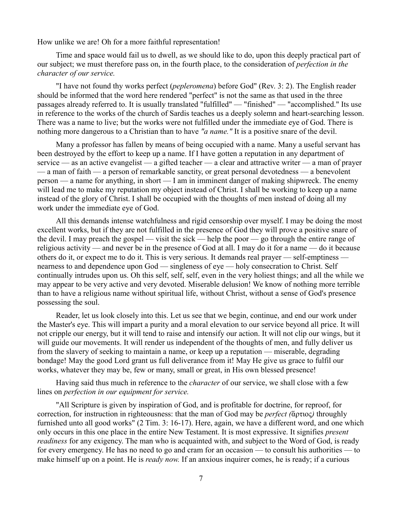How unlike we are! Oh for a more faithful representation!

Time and space would fail us to dwell, as we should like to do, upon this deeply practical part of our subject; we must therefore pass on, in the fourth place, to the consideration of *perfection in the character of our service.*

"I have not found thy works perfect (*pepleromena*) before God" (Rev. 3: 2). The English reader should be informed that the word here rendered "perfect" is not the same as that used in the three passages already referred to. It is usually translated "fulfilled" — "finished" — "accomplished." Its use in reference to the works of the church of Sardis teaches us a deeply solemn and heart-searching lesson. There was a name to live; but the works were not fulfilled under the immediate eye of God. There is nothing more dangerous to a Christian than to have *"a name."* It is a positive snare of the devil.

Many a professor has fallen by means of being occupied with a name. Many a useful servant has been destroyed by the effort to keep up a name. If I have gotten a reputation in any department of service — as an active evangelist — a gifted teacher — a clear and attractive writer — a man of prayer — a man of faith — a person of remarkable sanctity, or great personal devotedness — a benevolent person — a name for anything, in short — I am in imminent danger of making shipwreck. The enemy will lead me to make my reputation my object instead of Christ. I shall be working to keep up a name instead of the glory of Christ. I shall be occupied with the thoughts of men instead of doing all my work under the immediate eye of God.

All this demands intense watchfulness and rigid censorship over myself. I may be doing the most excellent works, but if they are not fulfilled in the presence of God they will prove a positive snare of the devil. I may preach the gospel — visit the sick — help the poor — go through the entire range of religious activity — and never be in the presence of God at all. I may do it for a name — do it because others do it, or expect me to do it. This is very serious. It demands real prayer — self-emptiness nearness to and dependence upon God — singleness of eye — holy consecration to Christ. Self continually intrudes upon us. Oh this self, self, self, even in the very holiest things; and all the while we may appear to be very active and very devoted. Miserable delusion! We know of nothing more terrible than to have a religious name without spiritual life, without Christ, without a sense of God's presence possessing the soul.

Reader, let us look closely into this. Let us see that we begin, continue, and end our work under the Master's eye. This will impart a purity and a moral elevation to our service beyond all price. It will not cripple our energy, but it will tend to raise and intensify our action. It will not clip our wings, but it will guide our movements. It will render us independent of the thoughts of men, and fully deliver us from the slavery of seeking to maintain a name, or keep up a reputation — miserable, degrading bondage! May the good Lord grant us full deliverance from it! May He give us grace to fulfil our works, whatever they may be, few or many, small or great, in His own blessed presence!

Having said thus much in reference to the *character* of our service, we shall close with a few lines on *perfection in our equipment for service.*

"All Scripture is given by inspiration of God, and is profitable for doctrine, for reproof, for correction, for instruction in righteousness: that the man of God may be *perfect (*ἅρτιος*)* throughly furnished unto all good works" (2 Tim. 3: 16-17). Here, again, we have a different word, and one which only occurs in this one place in the entire New Testament. It is most expressive. It signifies *present readiness* for any exigency. The man who is acquainted with, and subject to the Word of God, is ready for every emergency. He has no need to go and cram for an occasion — to consult his authorities — to make himself up on a point. He is *ready now.* If an anxious inquirer comes, he is ready; if a curious